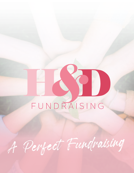# FUNDRAISING

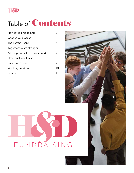

# Table of Contents

| Choose your Cause                       |  |
|-----------------------------------------|--|
|                                         |  |
|                                         |  |
| All the possibilities in your hands     |  |
| How much can I raise <b>Manual</b> 2008 |  |
|                                         |  |
|                                         |  |
|                                         |  |

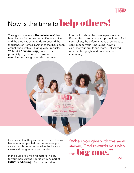

# Now is the time to **help others!**

Together We are Stronger! Lighting the flame that brings cams and Hopes for all

Throughout the years, **Home Interiors®** has been known for our mission to Decorate Lives, and the time has come to do so beyond the thousands of Homes in America that have been embellished with our high quality Products. With **H&D® Fundraising** you have the possibility to give hope to those who need it most through the sale of Aromatic

information about the main aspects of your Events, the causes you can support, how to find your Sellers, the different types of activities to contribute to your Fundraising, how to calculate your profits and more. Get started now and bring light and hope to your community!

Candles so that they can achieve their dreams because when you help someone else, your satisfaction is only compared to the love you share and the gratitude you receive.

In this guide you will find material helpful to you when starting your journey as part of **H&D® Fundraising**. Discover important

"When you give with the **small shovell,** God rewards you with the big one.  $-M.C.$ 

**2**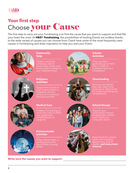

# **Your first step** Choose your Cause

The first step to carry out your Fundraising is to find the cause that you want to support and that fills your heart the most. At **H&D® Fundraising**, the possibilities of hosting Events are endless thanks to the wide variety of causes you can choose from Check here some of the most frequently used causes in Fundraising and draw inspiration to help you start your Event.



#### **Community Help**

Create a recycling campaign, save a community center, and fix the parks or streets in your neighborhood.



#### **Scholar Activities**

Help a student graduate, go on field trips, or lead an academic team to a competition.



#### **Religious Activities**

Support the church in your community for a sharing your faith.



#### **Cheerleading**

Because sometimes they also need to be cheered on. Raise funds for uniforms and trips to competitions.



#### **Medical Care**

Create a Fundraising to cover the costs of check ups, treatments, rehabilitations, or surgeries.



### **School Groups**

Support your community's school football team, school band, library, or computer rooms.



#### **Extracurricular activities**

Help a dance team, a reading group, the local theater, among



Raise funds for a foster home, fire or police department, animal shelter, **and many more dreams!**

**Write here the causes you want to support:**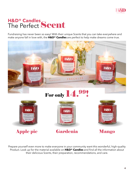

# **H&D® Candles** The Perfect Scent

Fundraising has never been so easy! With their unique Scents that you can take everywhere and make anyone fall in love with, the **H&D® Candles** are perfect to help make dreams come true.



Prepare yourself even more to make everyone in your community want this wonderful, high-quality Product. Look up for the material available on **H&D® Candles** and find all the information about their delicious Scents, their preparation, recommendations, and care.

Apple pie Gardenia Mango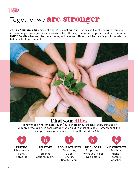

# Together we are stronger

At **H&D® Fundraising**, unity is strength! By creating your Fundraising Event, you will be able to invite more people to join your cause as Sellers. This way, the more people support and the more **H&D® Candles** they sell, the more money will be raised. Think of all the people you know who can help you build your team!



## Find your Allies

Identify those who can help you in your Fundraising. You can start by thinking of 3 people who qualify in each category and build your list of Sellers. Remember all the categories using their initials to form the word F.R.A.N.K.:



Social networks.



**RELATIVES** Parents, Siblings Cousins, In laws.



**ACQUAINTANCES** Coworkers, Clubs, Church, Beauty Salon.



**NEIGHBORS** People from where you live or lived before.



Teachers, Friends' parents, Coaches.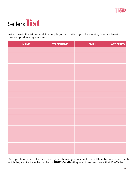

# Sellers list

Write down in the list below all the people you can invite to your Fundraising Event and mark if they accepted joining your cause.

| <b>NAME</b> | <b>TELEPHONE</b> | <b>EMAIL</b> | <b>ACCEPTED</b> |
|-------------|------------------|--------------|-----------------|
|             |                  |              |                 |
|             |                  |              |                 |
|             |                  |              |                 |
|             |                  |              |                 |
|             |                  |              |                 |
|             |                  |              |                 |
|             |                  |              |                 |
|             |                  |              |                 |
|             |                  |              |                 |
|             |                  |              |                 |
|             |                  |              |                 |
|             |                  |              |                 |
|             |                  |              |                 |
|             |                  |              |                 |
|             |                  |              |                 |
|             |                  |              |                 |
|             |                  |              |                 |
|             |                  |              |                 |
|             |                  |              |                 |

Once you have your Sellers, you can register them in your Account to send them by email a code with which they can indicate the number of **H&D® Candles** they wish to sell and place their Pre-Order.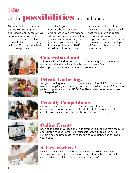

The possibilities of creating a unique Fundraising are endless. Remember to always keep in mind important aspects to decide the kind of Events that your Fundraising will have. Think about when it will take place, its duration,

activities in your neighborhood, location, among other decisive factors when choosing the Events that you can carry out during the course of your Fundraising. In many of them your **H&D® Candles** will be the main

attraction, while in others they will be that special touch that will make your guests, patrons and donors want to help your cause. Check the list below and discover the types of Event that best suit your Fundraising.



## Concession Stand

Sell your **H&D® Candles** and hold your Fundraising Event in the most recurring and traditional way, but the one that never fails! Get a spot at your county fair or local show or market.



## Private Gatherings

Are you planning to meet up with your family or friends? Do you have a reading group? Is your company preparing to hold a congress? This is the perfect opportunity to offer **H&D® Candles** as decorative items or thank you keepsakes.



## Friendly Competitions

Are you the manager or director of a company? Organize a sales competition among your workers. In addition to helping a cause, this activity promotes teamwork and collaboration among colleagues.



## Online Events

Keep taking care of yourself and your loved ones by selling from the safety and comfort of your Home. Use your social networks to advertise your Fundraising and broadcast live to share with your friends and followers your goals.



## Sell everywhere!

Develop your social skills and sell your **H&D® Candles** everywhere. Take them with you and offer them in the beauty salon, with your vet, in the supermarket and all the places that you can think of.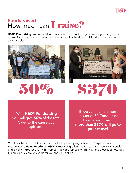

## **Funds raised** How much can **I raise?**

**H&D® Fundraising** has prepared for you an attractive profits program where you can give the cause of your choice the support that it needs and thus be able to fulfill a dream or give hope to someone else.







With **H&D® Fundraising** you will give **50%** of the total Sales to the cause you registered.

If you sell the minimum amount of 50 Candles per Fundraising Event, **more than \$370 will go to your cause!**

Thanks to the fact that it is a program backed by a company with years of experience and recognition as **Home Interiors®**, **H&D® Fundraising** offers you the customer service, materials, and excellent Product quality this company is world famous for. This way, the process of hosting a Fundraising is more enjoyable for you and your Sellers.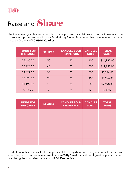

# Raise and **Share**

Use the following table as an example to make your own calculations and find out how much the cause you support can get with your Fundraising Events. Remember that the minimum amount to place an Order is of 50 **H&D® Candles**.

| <b>FUNDS FOR</b><br><b>THE CAUSE</b> | <b>SELLERS</b> | <b>CANDLES SOLD</b><br><b>PER PERSON</b> | <b>CANDLES</b><br><b>SOLD</b> | <b>TOTAL</b><br><b>SALES</b> |
|--------------------------------------|----------------|------------------------------------------|-------------------------------|------------------------------|
| \$7,495.00                           | 50             | 20                                       | 100                           | \$14,990.00                  |
| \$5,996.00                           | 40             | 20                                       | 800                           | \$11,992.00                  |
| \$4,497.00                           | 30             | 20                                       | 600                           | \$8,994.00                   |
| \$2,998.00                           | 20             | 20                                       | 400                           | \$5,996.00                   |
| \$1,499.00                           | 10             | 20                                       | 200                           | \$2,998.00                   |
| \$374.75                             | $\overline{2}$ | 25                                       | 50                            | \$749.50                     |

| <b>FUNDS FOR</b><br><b>THE CAUSE</b> | <b>SELLERS</b> | <b>CANDLES SOLD</b><br><b>PER PERSON</b> | <b>CANDLES</b><br><b>SOLD</b> | <b>TOTAL</b><br><b>SALES</b> |
|--------------------------------------|----------------|------------------------------------------|-------------------------------|------------------------------|
|                                      |                |                                          |                               |                              |
|                                      |                |                                          |                               |                              |
|                                      |                |                                          |                               |                              |
|                                      |                |                                          |                               |                              |
|                                      |                |                                          |                               |                              |
|                                      |                |                                          |                               |                              |

In addition to this practical table that you can take everywhere with this guide to make your own examples, find in our website a downloadable **Tally Sheet** that will be of great help to you when calculating the total raised with your **H&D® Candle** Sales.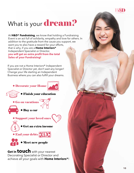# What is your **dream?**

At **H&D® Fundraising**, we know that holding a Fundraising Event is an act full of solidarity, empathy and love for others. In addition to the gratitude from the cause you support, we want you to also have a reward for your efforts, that is why, if you are a **Home Interiors®** Independent Specialist or Director, **you will get an extra profit from the total Sales of your Fundraising!**

If you are not a Home Interiors® Independent Specialist or Director yet, don't wait any longer! Change your life starting an Independent Business where you can also fulfill your dreams.



**Get in touch** with your nearest Decorating Specialist or Director and achieve all your goals with **Home Interiors®**!